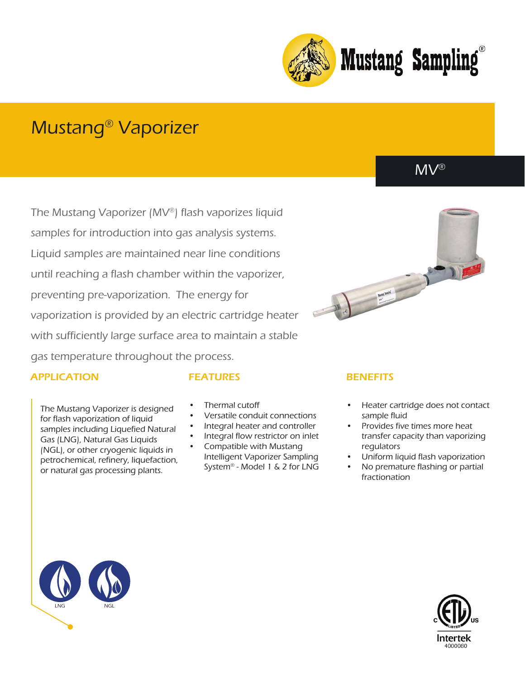

# Mustang® Vaporizer

The Mustang Vaporizer (MV®) flash vaporizes liquid samples for introduction into gas analysis systems. Liquid samples are maintained near line conditions until reaching a flash chamber within the vaporizer, preventing pre-vaporization. The energy for vaporization is provided by an electric cartridge heater with sufficiently large surface area to maintain a stable gas temperature throughout the process.

### APPLICATION

The Mustang Vaporizer is designed for flash vaporization of liquid samples including Liquefied Natural Gas (LNG), Natural Gas Liquids (NGL), or other cryogenic liquids in petrochemical, refinery, liquefaction, or natural gas processing plants.

- 
- Thermal cutoff
- Versatile conduit connections
- Integral heater and controller
- Integral flow restrictor on inlet
- Compatible with Mustang Intelligent Vaporizer Sampling System® - Model 1 & 2 for LNG

# FEATURES BENEFITS

- Heater cartridge does not contact sample fluid
- Provides five times more heat transfer capacity than vaporizing regulators
- Uniform liquid flash vaporization
- No premature flashing or partial fractionation





MV®